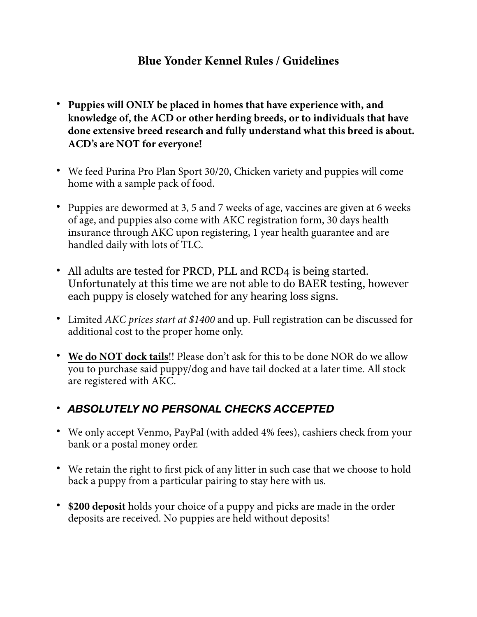## **Blue Yonder Kennel Rules / Guidelines**

- **• Puppies will ONLY be placed in homes that have experience with, and knowledge of, the ACD or other herding breeds, or to individuals that have done extensive breed research and fully understand what this breed is about. ACD's are NOT for everyone!**
- **•** We feed Purina Pro Plan Sport 30/20, Chicken variety and puppies will come home with a sample pack of food.
- **•** Puppies are dewormed at 3, 5 and 7 weeks of age, vaccines are given at 6 weeks of age, and puppies also come with AKC registration form, 30 days health insurance through AKC upon registering, 1 year health guarantee and are handled daily with lots of TLC.
- **•** All adults are tested for PRCD, PLL and RCD4 is being started. Unfortunately at this time we are not able to do BAER testing, however each puppy is closely watched for any hearing loss signs.
- **•** Limited *AKC prices start at \$1400* and up. Full registration can be discussed for additional cost to the proper home only.
- **• We do NOT dock tails**!! Please don't ask for this to be done NOR do we allow you to purchase said puppy/dog and have tail docked at a later time. All stock are registered with AKC.

## **•** *ABSOLUTELY NO PERSONAL CHECKS ACCEPTED*

- **•** We only accept Venmo, PayPal (with added 4% fees), cashiers check from your bank or a postal money order.
- We retain the right to first pick of any litter in such case that we choose to hold back a puppy from a particular pairing to stay here with us.
- **• \$200 deposit** holds your choice of a puppy and picks are made in the order deposits are received. No puppies are held without deposits!